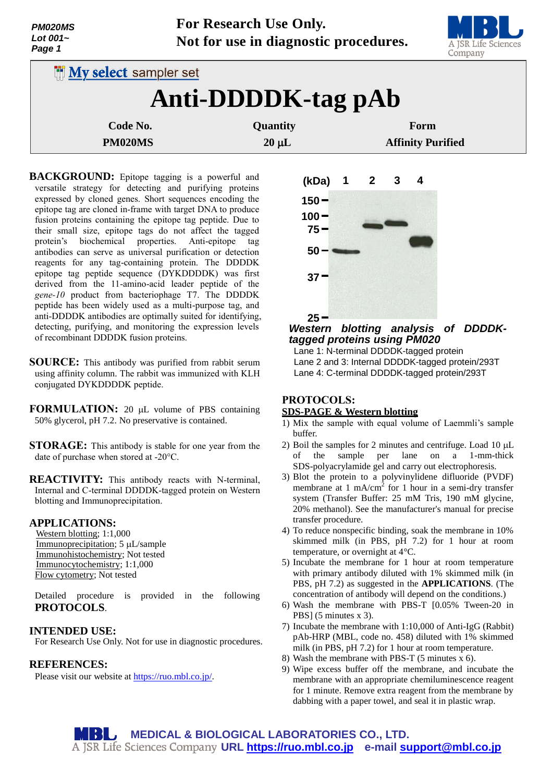| <b>PM020MS</b> |  |  |
|----------------|--|--|
| Lot 001 $\sim$ |  |  |
| Page 1         |  |  |



| <b>My select sampler set</b> |                 |                          |  |
|------------------------------|-----------------|--------------------------|--|
| Anti-DDDDK-tag pAb           |                 |                          |  |
| Code No.                     | <b>Quantity</b> | Form                     |  |
| PM020MS                      | $20 \mu L$      | <b>Affinity Purified</b> |  |

**BACKGROUND:** Epitope tagging is a powerful and versatile strategy for detecting and purifying proteins expressed by cloned genes. Short sequences encoding the epitope tag are cloned in-frame with target DNA to produce fusion proteins containing the epitope tag peptide. Due to their small size, epitope tags do not affect the tagged protein's biochemical properties. Anti-epitope tag antibodies can serve as universal purification or detection reagents for any tag-containing protein. The DDDDK epitope tag peptide sequence (DYKDDDDK) was first derived from the 11-amino-acid leader peptide of the *gene-10* product from bacteriophage T7. The DDDDK peptide has been widely used as a multi-purpose tag, and anti-DDDDK antibodies are optimally suited for identifying, detecting, purifying, and monitoring the expression levels of recombinant DDDDK fusion proteins.

- **SOURCE:** This antibody was purified from rabbit serum using affinity column. The rabbit was immunized with KLH conjugated DYKDDDDK peptide.
- **FORMULATION:** 20 µL volume of PBS containing 50% glycerol, pH 7.2. No preservative is contained.
- **STORAGE:** This antibody is stable for one year from the date of purchase when stored at -20°C.
- **REACTIVITY:** This antibody reacts with N-terminal, Internal and C-terminal DDDDK-tagged protein on Western blotting and Immunoprecipitation.

## **APPLICATIONS:**

Western blotting; 1:1,000 Immunoprecipitation; 5 µL/sample Immunohistochemistry; Not tested Immunocytochemistry; 1:1,000 Flow cytometry; Not tested

Detailed procedure is provided in the following **PROTOCOLS**.

## **INTENDED USE:**

For Research Use Only. Not for use in diagnostic procedures.

#### **REFERENCES:**

Please visit our website at [https://ruo.mbl.co.jp/.](https://ruo.mbl.co.jp/)



# *Western blotting analysis of DDDDKtagged proteins using PM020*

Lane 1: N-terminal DDDDK-tagged protein Lane 2 and 3: Internal DDDDK-tagged protein/293T Lane 4: C-terminal DDDDK-tagged protein/293T

# **PROTOCOLS: SDS-PAGE & Western blotting**

- 1) Mix the sample with equal volume of Laemmli's sample buffer.
- 2) Boil the samples for 2 minutes and centrifuge. Load  $10 \mu L$ of the sample per lane on a 1-mm-thick SDS-polyacrylamide gel and carry out electrophoresis.
- 3) Blot the protein to a polyvinylidene difluoride (PVDF) membrane at  $1 \text{ mA/cm}^2$  for 1 hour in a semi-dry transfer system (Transfer Buffer: 25 mM Tris, 190 mM glycine, 20% methanol). See the manufacturer's manual for precise transfer procedure.
- 4) To reduce nonspecific binding, soak the membrane in 10% skimmed milk (in PBS, pH 7.2) for 1 hour at room temperature, or overnight at 4°C.
- 5) Incubate the membrane for 1 hour at room temperature with primary antibody diluted with 1% skimmed milk (in PBS, pH 7.2) as suggested in the **APPLICATIONS**. (The concentration of antibody will depend on the conditions.)
- 6) Wash the membrane with PBS-T [0.05% Tween-20 in PBS] (5 minutes x 3).
- 7) Incubate the membrane with 1:10,000 of Anti-IgG (Rabbit) pAb-HRP (MBL, code no. 458) diluted with 1% skimmed milk (in PBS, pH 7.2) for 1 hour at room temperature.
- 8) Wash the membrane with PBS-T (5 minutes x 6).
- 9) Wipe excess buffer off the membrane, and incubate the membrane with an appropriate chemiluminescence reagent for 1 minute. Remove extra reagent from the membrane by dabbing with a paper towel, and seal it in plastic wrap.

MBL, **MEDICAL & BIOLOGICAL LABORATORIES CO., LTD. URL [https://ruo.mbl.co.jp](https://ruo.mbl.co.jp/) e-mail [support@mbl.co.jp](mailto:support@mbl.co.jp)**